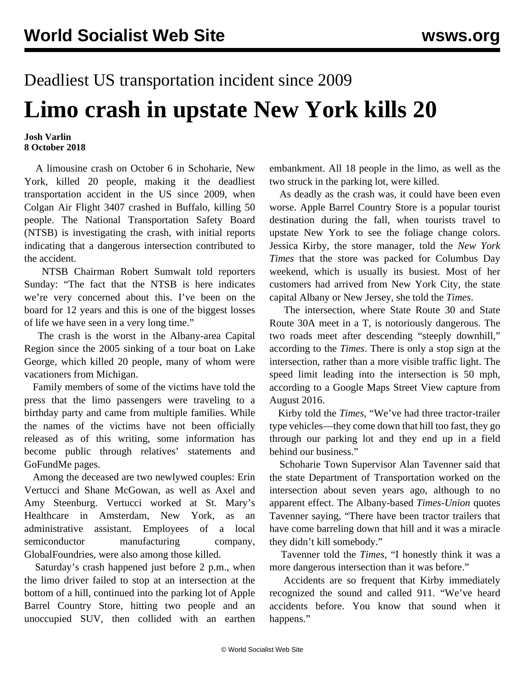## Deadliest US transportation incident since 2009 **Limo crash in upstate New York kills 20**

## **Josh Varlin 8 October 2018**

 A limousine crash on October 6 in Schoharie, New York, killed 20 people, making it the deadliest transportation accident in the US since 2009, when Colgan Air Flight 3407 crashed in Buffalo, killing 50 people. The National Transportation Safety Board (NTSB) is investigating the crash, with initial reports indicating that a dangerous intersection contributed to the accident.

 NTSB Chairman Robert Sumwalt told reporters Sunday: "The fact that the NTSB is here indicates we're very concerned about this. I've been on the board for 12 years and this is one of the biggest losses of life we have seen in a very long time."

 The crash is the worst in the Albany-area Capital Region since the 2005 sinking of a tour boat on Lake George, which killed 20 people, many of whom were vacationers from Michigan.

 Family members of some of the victims have told the press that the limo passengers were traveling to a birthday party and came from multiple families. While the names of the victims have not been officially released as of this writing, some information has become public through relatives' statements and GoFundMe pages.

 Among the deceased are two newlywed couples: Erin Vertucci and Shane McGowan, as well as Axel and Amy Steenburg. Vertucci worked at St. Mary's Healthcare in Amsterdam, New York, as an administrative assistant. Employees of a local semiconductor manufacturing company, GlobalFoundries, were also among those killed.

 Saturday's crash happened just before 2 p.m., when the limo driver failed to stop at an intersection at the bottom of a hill, continued into the parking lot of Apple Barrel Country Store, hitting two people and an unoccupied SUV, then collided with an earthen

embankment. All 18 people in the limo, as well as the two struck in the parking lot, were killed.

 As deadly as the crash was, it could have been even worse. Apple Barrel Country Store is a popular tourist destination during the fall, when tourists travel to upstate New York to see the foliage change colors. Jessica Kirby, the store manager, told the *New York Times* that the store was packed for Columbus Day weekend, which is usually its busiest. Most of her customers had arrived from New York City, the state capital Albany or New Jersey, she told the *Times*.

 The intersection, where State Route 30 and State Route 30A meet in a T, is notoriously dangerous. The two roads meet after descending "steeply downhill," according to the *Times*. There is only a stop sign at the intersection, rather than a more visible traffic light. The speed limit leading into the intersection is 50 mph, according to a Google Maps Street View capture from August 2016.

 Kirby told the *Times*, "We've had three tractor-trailer type vehicles—they come down that hill too fast, they go through our parking lot and they end up in a field behind our business."

 Schoharie Town Supervisor Alan Tavenner said that the state Department of Transportation worked on the intersection about seven years ago, although to no apparent effect. The Albany-based *Times-Union* quotes Tavenner saying, "There have been tractor trailers that have come barreling down that hill and it was a miracle they didn't kill somebody."

 Tavenner told the *Times*, "I honestly think it was a more dangerous intersection than it was before."

 Accidents are so frequent that Kirby immediately recognized the sound and called 911. "We've heard accidents before. You know that sound when it happens."